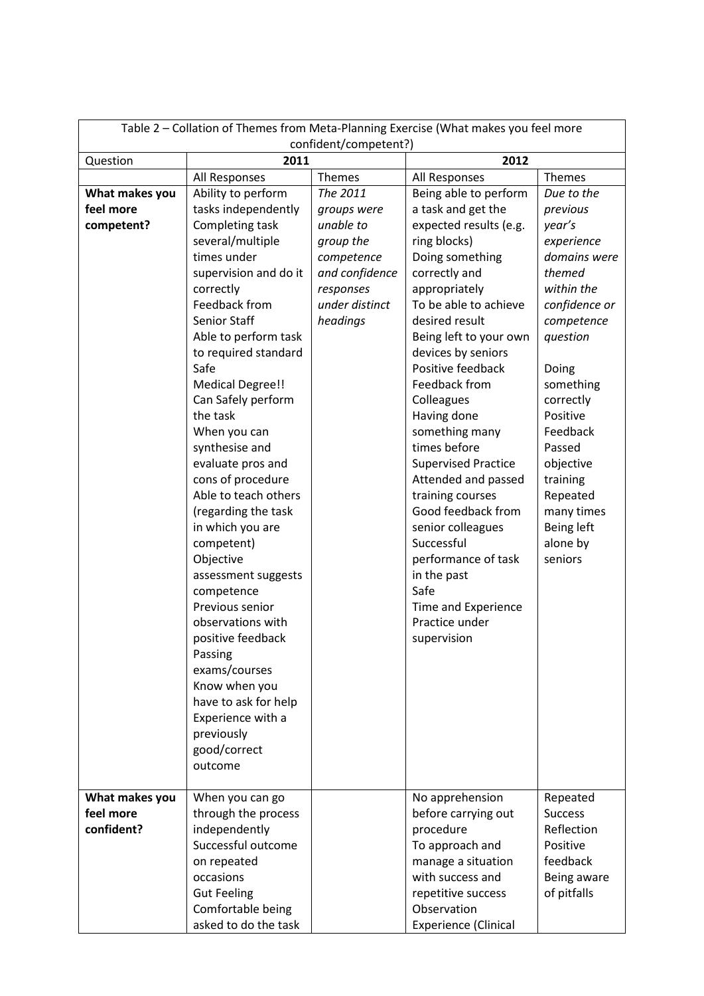| Table 2 - Collation of Themes from Meta-Planning Exercise (What makes you feel more<br>confident/competent?) |                                           |                |                               |                      |  |
|--------------------------------------------------------------------------------------------------------------|-------------------------------------------|----------------|-------------------------------|----------------------|--|
| Question                                                                                                     | 2011                                      |                | 2012                          |                      |  |
|                                                                                                              | All Responses                             | <b>Themes</b>  | All Responses                 | Themes               |  |
| What makes you                                                                                               | Ability to perform                        | The 2011       | Being able to perform         | Due to the           |  |
| feel more                                                                                                    | tasks independently                       | groups were    | a task and get the            | previous             |  |
| competent?                                                                                                   | Completing task                           | unable to      | expected results (e.g.        | year's               |  |
|                                                                                                              | several/multiple                          | group the      | ring blocks)                  | experience           |  |
|                                                                                                              | times under                               | competence     | Doing something               | domains were         |  |
|                                                                                                              | supervision and do it                     | and confidence | correctly and                 | themed               |  |
|                                                                                                              | correctly                                 | responses      | appropriately                 | within the           |  |
|                                                                                                              | Feedback from                             | under distinct | To be able to achieve         | confidence or        |  |
|                                                                                                              | Senior Staff                              | headings       | desired result                | competence           |  |
|                                                                                                              | Able to perform task                      |                | Being left to your own        | question             |  |
|                                                                                                              | to required standard                      |                | devices by seniors            |                      |  |
|                                                                                                              | Safe                                      |                | Positive feedback             | Doing                |  |
|                                                                                                              | <b>Medical Degree!!</b>                   |                | Feedback from                 | something            |  |
|                                                                                                              | Can Safely perform                        |                | Colleagues                    | correctly            |  |
|                                                                                                              | the task                                  |                | Having done<br>something many | Positive<br>Feedback |  |
|                                                                                                              | When you can<br>synthesise and            |                | times before                  | Passed               |  |
|                                                                                                              | evaluate pros and                         |                | <b>Supervised Practice</b>    | objective            |  |
|                                                                                                              | cons of procedure                         |                | Attended and passed           | training             |  |
|                                                                                                              | Able to teach others                      |                | training courses              | Repeated             |  |
|                                                                                                              | (regarding the task                       |                | Good feedback from            | many times           |  |
|                                                                                                              | in which you are                          |                | senior colleagues             | Being left           |  |
|                                                                                                              | competent)                                |                | Successful                    | alone by             |  |
|                                                                                                              | Objective                                 |                | performance of task           | seniors              |  |
|                                                                                                              | assessment suggests                       |                | in the past                   |                      |  |
|                                                                                                              | competence                                |                | Safe                          |                      |  |
|                                                                                                              | Previous senior                           |                | Time and Experience           |                      |  |
|                                                                                                              | observations with                         |                | Practice under                |                      |  |
|                                                                                                              | positive feedback                         |                | supervision                   |                      |  |
|                                                                                                              | Passing                                   |                |                               |                      |  |
|                                                                                                              | exams/courses                             |                |                               |                      |  |
|                                                                                                              | Know when you                             |                |                               |                      |  |
|                                                                                                              | have to ask for help<br>Experience with a |                |                               |                      |  |
|                                                                                                              | previously                                |                |                               |                      |  |
|                                                                                                              | good/correct                              |                |                               |                      |  |
|                                                                                                              | outcome                                   |                |                               |                      |  |
|                                                                                                              |                                           |                |                               |                      |  |
| What makes you                                                                                               | When you can go                           |                | No apprehension               | Repeated             |  |
| feel more                                                                                                    | through the process                       |                | before carrying out           | <b>Success</b>       |  |
| confident?                                                                                                   | independently                             |                | procedure                     | Reflection           |  |
|                                                                                                              | Successful outcome                        |                | To approach and               | Positive             |  |
|                                                                                                              | on repeated                               |                | manage a situation            | feedback             |  |
|                                                                                                              | occasions                                 |                | with success and              | Being aware          |  |
|                                                                                                              | <b>Gut Feeling</b>                        |                | repetitive success            | of pitfalls          |  |
|                                                                                                              | Comfortable being                         |                | Observation                   |                      |  |
|                                                                                                              | asked to do the task                      |                | <b>Experience (Clinical</b>   |                      |  |